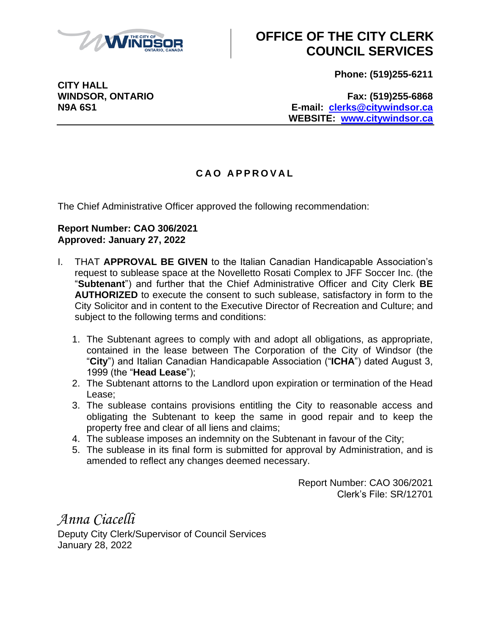

## **OFFICE OF THE CITY CLERK COUNCIL SERVICES**

**Phone: (519)255-6211**

**CITY HALL**

**WINDSOR, ONTARIO Fax: (519)255-6868 N9A 6S1 E-mail: [clerks@citywindsor.ca](mailto:clerks@citywindsor.ca) WEBSITE: [www.citywindsor.ca](http://www.citywindsor.ca/)**

## **C A O A P P R O V A L**

The Chief Administrative Officer approved the following recommendation:

## **Report Number: CAO 306/2021 Approved: January 27, 2022**

- I. THAT **APPROVAL BE GIVEN** to the Italian Canadian Handicapable Association's request to sublease space at the Novelletto Rosati Complex to JFF Soccer Inc. (the "**Subtenant**") and further that the Chief Administrative Officer and City Clerk **BE AUTHORIZED** to execute the consent to such sublease, satisfactory in form to the City Solicitor and in content to the Executive Director of Recreation and Culture; and subject to the following terms and conditions:
	- 1. The Subtenant agrees to comply with and adopt all obligations, as appropriate, contained in the lease between The Corporation of the City of Windsor (the "**City**") and Italian Canadian Handicapable Association ("**ICHA**") dated August 3, 1999 (the "**Head Lease**");
	- 2. The Subtenant attorns to the Landlord upon expiration or termination of the Head Lease;
	- 3. The sublease contains provisions entitling the City to reasonable access and obligating the Subtenant to keep the same in good repair and to keep the property free and clear of all liens and claims;
	- 4. The sublease imposes an indemnity on the Subtenant in favour of the City;
	- 5. The sublease in its final form is submitted for approval by Administration, and is amended to reflect any changes deemed necessary.

Report Number: CAO 306/2021 Clerk's File: SR/12701

*Anna Ciacelli* Deputy City Clerk/Supervisor of Council Services January 28, 2022